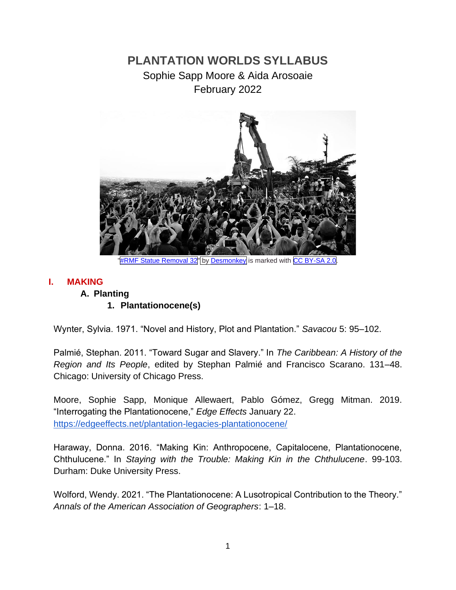# **PLANTATION WORLDS SYLLABUS** Sophie Sapp Moore & Aida Arosoaie February 2022



#### **I. MAKING**

# **A. Planting**

#### **1. Plantationocene(s)**

Wynter, Sylvia. 1971. "Novel and History, Plot and Plantation." *Savacou* 5: 95–102.

Palmié, Stephan. 2011. "Toward Sugar and Slavery." In *The Caribbean: A History of the Region and Its People*, edited by Stephan Palmié and Francisco Scarano. 131–48. Chicago: University of Chicago Press.

Moore, Sophie Sapp, Monique Allewaert, Pablo Gómez, Gregg Mitman. 2019. "Interrogating the Plantationocene," *Edge Effects* January 22. <https://edgeeffects.net/plantation-legacies-plantationocene/>

Haraway, Donna. 2016. "Making Kin: Anthropocene, Capitalocene, Plantationocene, Chthulucene." In *Staying with the Trouble: Making Kin in the Chthulucene*. 99-103. Durham: Duke University Press.

Wolford, Wendy. 2021. "The Plantationocene: A Lusotropical Contribution to the Theory." *Annals of the American Association of Geographers*: 1–18[.](https://doi.org/10.1080/24694452.2020.1850231)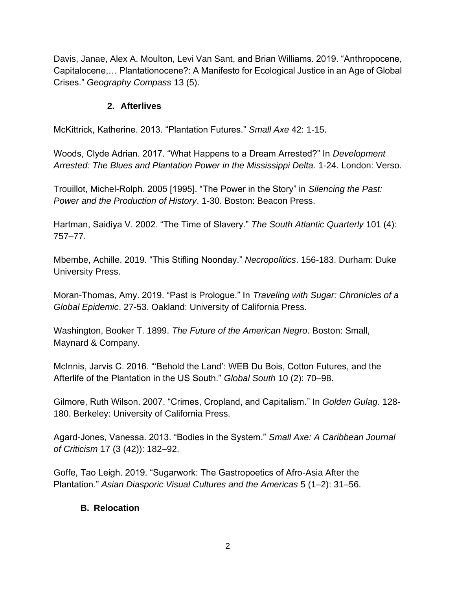Davis, Janae, Alex A. Moulton, Levi Van Sant, and Brian Williams. 2019. "Anthropocene, Capitalocene,… Plantationocene?: A Manifesto for Ecological Justice in an Age of Global Crises." *Geography Compass* 13 (5).

# **2. Afterlives**

McKittrick, Katherine. 2013. "Plantation Futures." *Small Axe* 42: 1-15.

Woods, Clyde Adrian. 2017. "What Happens to a Dream Arrested?" In *Development Arrested: The Blues and Plantation Power in the Mississippi Delta*. 1-24. London: Verso.

Trouillot, Michel-Rolph. 2005 [1995]. "The Power in the Story" in *Silencing the Past: Power and the Production of History*. 1-30. Boston: Beacon Press.

Hartman, Saidiya V. 2002. "The Time of Slavery." *The South Atlantic Quarterly* 101 (4): 757–77.

Mbembe, Achille. 2019. "This Stifling Noonday." *Necropolitics*. 156-183. Durham: Duke University Press.

Moran-Thomas, Amy. 2019. "Past is Prologue." In *Traveling with Sugar: Chronicles of a Global Epidemic*. 27-53. Oakland: University of California Press.

Washington, Booker T. 1899. *The Future of the American Negro*. Boston: Small, Maynard & Company.

McInnis, Jarvis C. 2016. "'Behold the Land': WEB Du Bois, Cotton Futures, and the Afterlife of the Plantation in the US South." *Global South* 10 (2): 70–98.

Gilmore, Ruth Wilson. 2007. "Crimes, Cropland, and Capitalism." In *Golden Gulag*. 128- 180. Berkeley: University of California Press.

Agard-Jones, Vanessa. 2013. "Bodies in the System." *Small Axe: A Caribbean Journal of Criticism* 17 (3 (42)): 182–92.

Goffe, Tao Leigh. 2019. "Sugarwork: The Gastropoetics of Afro-Asia After the Plantation." *Asian Diasporic Visual Cultures and the Americas* 5 (1–2): 31–56.

#### **B. Relocation**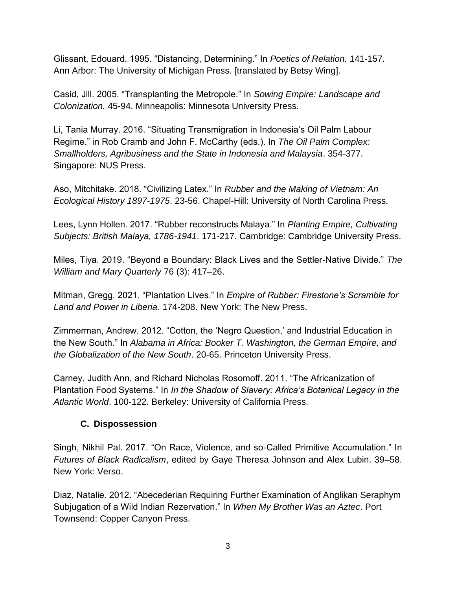Glissant, Edouard. 1995. "Distancing, Determining." In *Poetics of Relation.* 141-157. Ann Arbor: The University of Michigan Press. [translated by Betsy Wing].

Casid, Jill. 2005. "Transplanting the Metropole." In *Sowing Empire: Landscape and Colonization.* 45-94. Minneapolis: Minnesota University Press.

Li, Tania Murray. 2016. "Situating Transmigration in Indonesia's Oil Palm Labour Regime." in Rob Cramb and John F. McCarthy (eds.). In *The Oil Palm Complex: Smallholders, Agribusiness and the State in Indonesia and Malaysia*. 354-377. Singapore: NUS Press.

Aso, Mitchitake. 2018. "Civilizing Latex." In *Rubber and the Making of Vietnam: An Ecological History 1897-1975*. 23-56. Chapel-Hill: University of North Carolina Press.

Lees, Lynn Hollen. 2017. "Rubber reconstructs Malaya." In *Planting Empire, Cultivating Subjects: British Malaya, 1786-1941*. 171-217. Cambridge: Cambridge University Press.

Miles, Tiya. 2019. "Beyond a Boundary: Black Lives and the Settler-Native Divide." *The William and Mary Quarterly* 76 (3): 417–26.

Mitman, Gregg. 2021. "Plantation Lives." In *Empire of Rubber: Firestone's Scramble for Land and Power in Liberia.* 174-208. New York: The New Press.

Zimmerman, Andrew. 2012. "Cotton, the 'Negro Question,' and Industrial Education in the New South." In *Alabama in Africa: Booker T. Washington, the German Empire, and the Globalization of the New South*. 20-65. Princeton University Press.

Carney, Judith Ann, and Richard Nicholas Rosomoff. 2011. "The Africanization of Plantation Food Systems." In *In the Shadow of Slavery: Africa's Botanical Legacy in the Atlantic World*. 100-122. Berkeley: University of California Press.

# **C. Dispossession**

Singh, Nikhil Pal. 2017. "On Race, Violence, and so-Called Primitive Accumulation." In *Futures of Black Radicalism*, edited by Gaye Theresa Johnson and Alex Lubin. 39–58. New York: Verso.

Diaz, Natalie. 2012. "Abecederian Requiring Further Examination of Anglikan Seraphym Subjugation of a Wild Indian Rezervation." In *When My Brother Was an Aztec*. Port Townsend: Copper Canyon Press.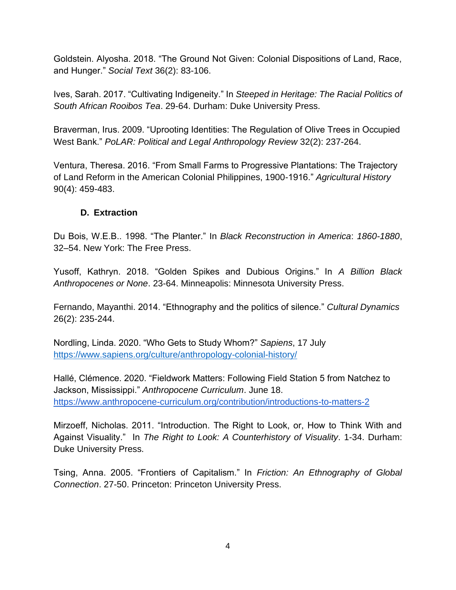Goldstein. Alyosha. 2018. "The Ground Not Given: Colonial Dispositions of Land, Race, and Hunger." *Social Text* 36(2): 83-106.

Ives, Sarah. 2017. "Cultivating Indigeneity." In *Steeped in Heritage: The Racial Politics of South African Rooibos Tea*. 29-64. Durham: Duke University Press.

Braverman, Irus. 2009. "Uprooting Identities: The Regulation of Olive Trees in Occupied West Bank." *PoLAR: Political and Legal Anthropology Review* 32(2): 237-264.

Ventura, Theresa. 2016. "From Small Farms to Progressive Plantations: The Trajectory of Land Reform in the American Colonial Philippines, 1900-1916." *Agricultural History*  90(4): 459-483.

# **D. Extraction**

Du Bois, W.E.B.. 1998. "The Planter." In *Black Reconstruction in America*: *1860-1880*, 32–54. New York: The Free Press.

Yusoff, Kathryn. 2018. "Golden Spikes and Dubious Origins." In *A Billion Black Anthropocenes or None*. 23-64. Minneapolis: Minnesota University Press.

Fernando, Mayanthi. 2014. "Ethnography and the politics of silence." *Cultural Dynamics* 26(2): 235-244.

Nordling, Linda. 2020. "Who Gets to Study Whom?" *Sapiens*, 17 July <https://www.sapiens.org/culture/anthropology-colonial-history/>

Hallé, Clémence. 2020. "Fieldwork Matters: Following Field Station 5 from Natchez to Jackson, Mississippi." *Anthropocene Curriculum*. June 18. <https://www.anthropocene-curriculum.org/contribution/introductions-to-matters-2>

Mirzoeff, Nicholas. 2011. "Introduction. The Right to Look, or, How to Think With and Against Visuality." In *The Right to Look: A Counterhistory of Visuality*. 1-34. Durham: Duke University Press.

Tsing, Anna. 2005. "Frontiers of Capitalism." In *Friction: An Ethnography of Global Connection*. 27-50. Princeton: Princeton University Press.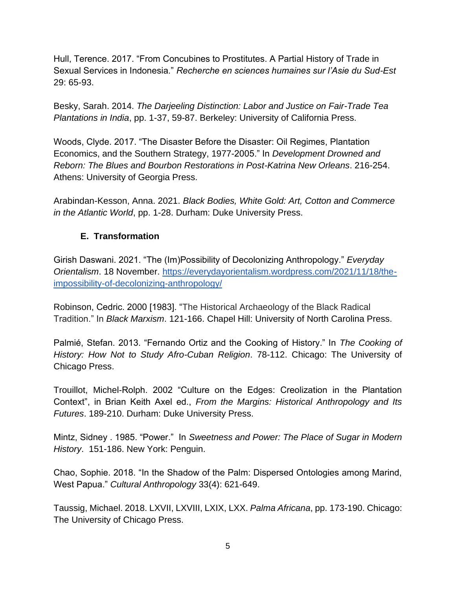Hull, Terence. 2017. "From Concubines to Prostitutes. A Partial History of Trade in Sexual Services in Indonesia." *Recherche en sciences humaines sur l'Asie du Sud-Est* 29: 65-93.

Besky, Sarah. 2014. *The Darjeeling Distinction: Labor and Justice on Fair-Trade Tea Plantations in India*, pp. 1-37, 59-87. Berkeley: University of California Press.

Woods, Clyde. 2017. "The Disaster Before the Disaster: Oil Regimes, Plantation Economics, and the Southern Strategy, 1977-2005." In *Development Drowned and Reborn: The Blues and Bourbon Restorations in Post-Katrina New Orleans*. 216-254. Athens: University of Georgia Press.

Arabindan-Kesson, Anna. 2021. *Black Bodies, White Gold: Art, Cotton and Commerce in the Atlantic World*, pp. 1-28. Durham: Duke University Press.

# **E. Transformation**

Girish Daswani. 2021. "The (Im)Possibility of Decolonizing Anthropology." *Everyday Orientalism*. 18 November. [https://everydayorientalism.wordpress.com/2021/11/18/the](https://everydayorientalism.wordpress.com/2021/11/18/the-impossibility-of-decolonizing-anthropology/)[impossibility-of-decolonizing-anthropology/](https://everydayorientalism.wordpress.com/2021/11/18/the-impossibility-of-decolonizing-anthropology/)

Robinson, Cedric. 2000 [1983]. "The Historical Archaeology of the Black Radical Tradition." In *Black Marxism*. 121-166. Chapel Hill: University of North Carolina Press.

Palmié, Stefan. 2013. "Fernando Ortiz and the Cooking of History." In *The Cooking of History: How Not to Study Afro-Cuban Religion*. 78-112. Chicago: The University of Chicago Press.

Trouillot, Michel-Rolph. 2002 "Culture on the Edges: Creolization in the Plantation Context", in Brian Keith Axel ed., *From the Margins: Historical Anthropology and Its Futures*. 189-210. Durham: Duke University Press.

Mintz, Sidney . 1985. "Power." In *Sweetness and Power: The Place of Sugar in Modern History*. 151-186. New York: Penguin.

Chao, Sophie. 2018. "In the Shadow of the Palm: Dispersed Ontologies among Marind, West Papua." *Cultural Anthropology* 33(4): 621-649.

Taussig, Michael. 2018. LXVII, LXVIII, LXIX, LXX. *Palma Africana*, pp. 173-190. Chicago: The University of Chicago Press.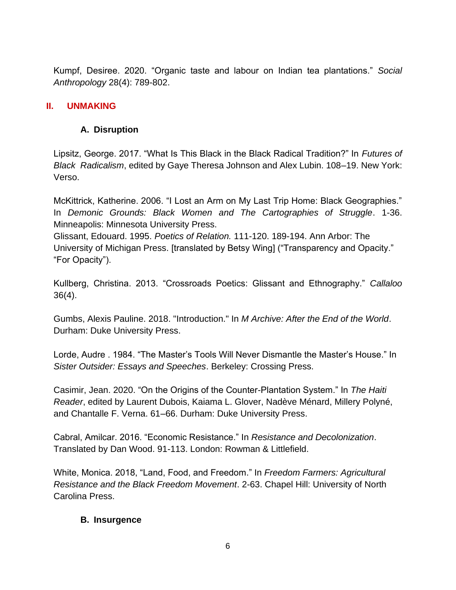Kumpf, Desiree. 2020. "Organic taste and labour on Indian tea plantations." *Social Anthropology* 28(4): 789-802.

## **II. UNMAKING**

## **A. Disruption**

Lipsitz, George. 2017. "What Is This Black in the Black Radical Tradition?" In *Futures of Black Radicalism*, edited by Gaye Theresa Johnson and Alex Lubin. 108–19. New York: Verso.

McKittrick, Katherine. 2006. "I Lost an Arm on My Last Trip Home: Black Geographies." In *Demonic Grounds: Black Women and The Cartographies of Struggle*. 1-36. Minneapolis: Minnesota University Press.

Glissant, Edouard. 1995. *Poetics of Relation.* 111-120. 189-194. Ann Arbor: The University of Michigan Press. [translated by Betsy Wing] ("Transparency and Opacity." "For Opacity").

Kullberg, Christina. 2013. "Crossroads Poetics: Glissant and Ethnography." *Callaloo* 36(4).

Gumbs, Alexis Pauline. 2018. "Introduction." In *M Archive: After the End of the World*. Durham: Duke University Press.

Lorde, Audre . 1984. "The Master's Tools Will Never Dismantle the Master's House." In *Sister Outsider: Essays and Speeches*. Berkeley: Crossing Press.

Casimir, Jean. 2020. "On the Origins of the Counter-Plantation System." In *The Haiti Reader*, edited by Laurent Dubois, Kaiama L. Glover, Nadève Ménard, Millery Polyné, and Chantalle F. Verna. 61–66. Durham: Duke University Press.

Cabral, Amilcar. 2016. "Economic Resistance." In *Resistance and Decolonization*. Translated by Dan Wood. 91-113. London: Rowman & Littlefield.

White, Monica. 2018, "Land, Food, and Freedom." In *Freedom Farmers: Agricultural Resistance and the Black Freedom Movement*. 2-63. Chapel Hill: University of North Carolina Press.

#### **B. Insurgence**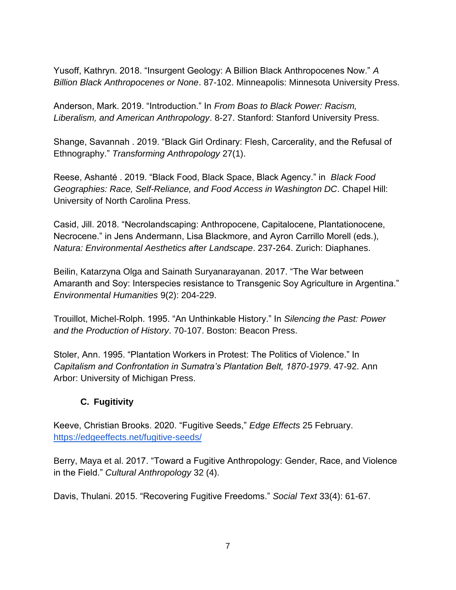Yusoff, Kathryn. 2018. "Insurgent Geology: A Billion Black Anthropocenes Now." *A Billion Black Anthropocenes or None*. 87-102. Minneapolis: Minnesota University Press.

Anderson, Mark. 2019. "Introduction." In *From Boas to Black Power: Racism, Liberalism, and American Anthropology*. 8-27. Stanford: Stanford University Press.

Shange, Savannah . 2019. "Black Girl Ordinary: Flesh, Carcerality, and the Refusal of Ethnography." *Transforming Anthropology* 27(1).

Reese, Ashanté . 2019. "Black Food, Black Space, Black Agency." in *Black Food Geographies: Race, Self-Reliance, and Food Access in Washington DC*. Chapel Hill: University of North Carolina Press.

Casid, Jill. 2018. "Necrolandscaping: Anthropocene, Capitalocene, Plantationocene, Necrocene." in Jens Andermann, Lisa Blackmore, and Ayron Carrillo Morell (eds.), *Natura: Environmental Aesthetics after Landscape*. 237-264. Zurich: Diaphanes.

Beilin, Katarzyna Olga and Sainath Suryanarayanan. 2017. "The War between Amaranth and Soy: Interspecies resistance to Transgenic Soy Agriculture in Argentina." *Environmental Humanities* 9(2): 204-229.

Trouillot, Michel-Rolph. 1995. "An Unthinkable History." In *Silencing the Past: Power and the Production of History*. 70-107. Boston: Beacon Press.

Stoler, Ann. 1995. "Plantation Workers in Protest: The Politics of Violence." In *Capitalism and Confrontation in Sumatra's Plantation Belt, 1870-1979*. 47-92. Ann Arbor: University of Michigan Press.

# **C. Fugitivity**

Keeve, Christian Brooks. 2020. "Fugitive Seeds," *Edge Effects* 25 February[.](https://edgeeffects.net/fugitive-seeds/) <https://edgeeffects.net/fugitive-seeds/>

Berry, Maya et al. 2017. "Toward a Fugitive Anthropology: Gender, Race, and Violence in the Field." *Cultural Anthropology* 32 (4).

Davis, Thulani. 2015. "Recovering Fugitive Freedoms." *Social Text* 33(4): 61-67.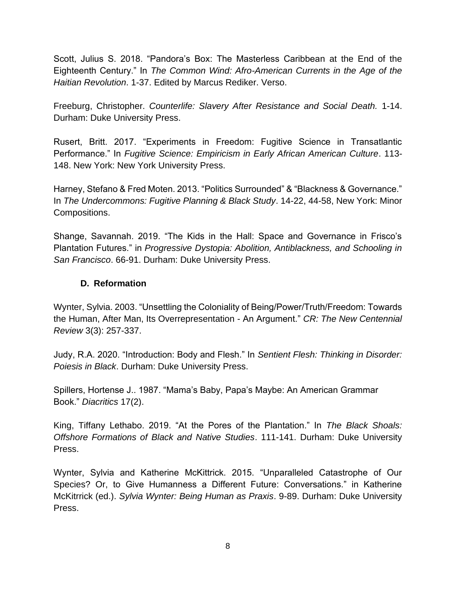Scott, Julius S. 2018. "Pandora's Box: The Masterless Caribbean at the End of the Eighteenth Century." In *The Common Wind: Afro-American Currents in the Age of the Haitian Revolution*. 1-37. Edited by Marcus Rediker. Verso.

Freeburg, Christopher. *Counterlife: Slavery After Resistance and Social Death.* 1-14. Durham: Duke University Press[.](https://www.dukeupress.edu/counterlife)

Rusert, Britt. 2017. "Experiments in Freedom: Fugitive Science in Transatlantic Performance." In *Fugitive Science: Empiricism in Early African American Culture*. 113- 148. New York: New York University Press.

Harney, Stefano & Fred Moten. 2013. "Politics Surrounded" & "Blackness & Governance." In *The Undercommons: Fugitive Planning & Black Study*. 14-22, 44-58, New York: Minor Compositions.

Shange, Savannah. 2019. "The Kids in the Hall: Space and Governance in Frisco's Plantation Futures." in *Progressive Dystopia: Abolition, Antiblackness, and Schooling in San Francisco*. 66-91. Durham: Duke University Press.

# **D. Reformation**

Wynter, Sylvia. 2003. "Unsettling the Coloniality of Being/Power/Truth/Freedom: Towards the Human, After Man, Its Overrepresentation - An Argument." *CR: The New Centennial Review* 3(3): 257-337.

Judy, R.A. 2020. "Introduction: Body and Flesh." In *Sentient Flesh: Thinking in Disorder: Poiesis in Black*. Durham: Duke University Press.

Spillers, Hortense J.. 1987. "Mama's Baby, Papa's Maybe: An American Grammar Book." *Diacritics* 17(2).

King, Tiffany Lethabo. 2019. "At the Pores of the Plantation." In *The Black Shoals: Offshore Formations of Black and Native Studies*. 111-141. Durham: Duke University Press.

Wynter, Sylvia and Katherine McKittrick. 2015. "Unparalleled Catastrophe of Our Species? Or, to Give Humanness a Different Future: Conversations." in Katherine McKitrrick (ed.). *Sylvia Wynter: Being Human as Praxis*. 9-89. Durham: Duke University Press.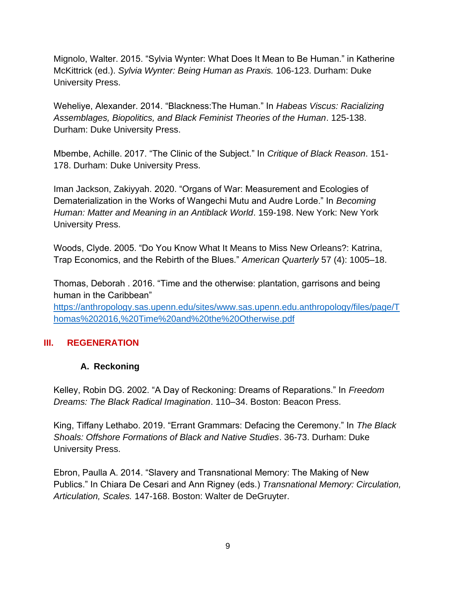Mignolo, Walter. 2015. "Sylvia Wynter: What Does It Mean to Be Human." in Katherine McKittrick (ed.). *Sylvia Wynter: Being Human as Praxis.* 106-123. Durham: Duke University Press.

Weheliye, Alexander. 2014. "Blackness:The Human." In *Habeas Viscus: Racializing Assemblages, Biopolitics, and Black Feminist Theories of the Human*. 125-138. Durham: Duke University Press.

Mbembe, Achille. 2017. "The Clinic of the Subject." In *Critique of Black Reason*. 151- 178. Durham: Duke University Press.

Iman Jackson, Zakiyyah. 2020. "Organs of War: Measurement and Ecologies of Dematerialization in the Works of Wangechi Mutu and Audre Lorde." In *Becoming Human: Matter and Meaning in an Antiblack World*. 159-198. New York: New York University Press.

Woods, Clyde. 2005. "Do You Know What It Means to Miss New Orleans?: Katrina, Trap Economics, and the Rebirth of the Blues." *American Quarterly* 57 (4): 1005–18.

Thomas, Deborah . 2016. "Time and the otherwise: plantation, garrisons and being human in the Caribbean"

[https://anthropology.sas.upenn.edu/sites/www.sas.upenn.edu.anthropology/files/page/T](https://anthropology.sas.upenn.edu/sites/www.sas.upenn.edu.anthropology/files/page/Thomas%202016,%20Time%20and%20the%20Otherwise.pdf) [homas%202016,%20Time%20and%20the%20Otherwise.pdf](https://anthropology.sas.upenn.edu/sites/www.sas.upenn.edu.anthropology/files/page/Thomas%202016,%20Time%20and%20the%20Otherwise.pdf)

# **III. REGENERATION**

# **A. Reckoning**

Kelley, Robin DG. 2002. "A Day of Reckoning: Dreams of Reparations." In *Freedom Dreams: The Black Radical Imagination*. 110–34. Boston: Beacon Press.

King, Tiffany Lethabo. 2019. "Errant Grammars: Defacing the Ceremony." In *The Black Shoals: Offshore Formations of Black and Native Studies*. 36-73. Durham: Duke University Press.

Ebron, Paulla A. 2014. "Slavery and Transnational Memory: The Making of New Publics." In Chiara De Cesari and Ann Rigney (eds.) *Transnational Memory: Circulation, Articulation, Scales.* 147-168. Boston: Walter de DeGruyter.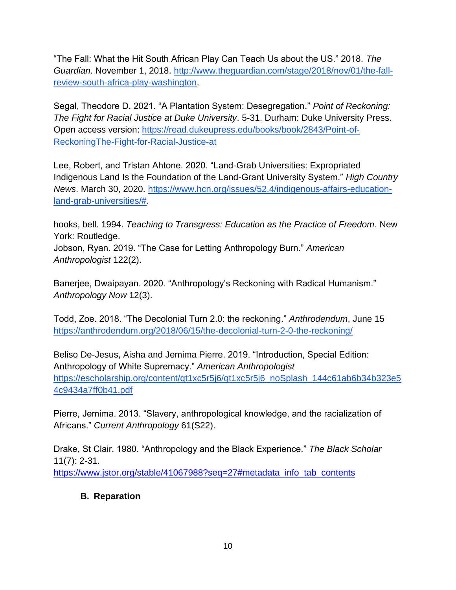"The Fall: What the Hit South African Play Can Teach Us about the US." 2018. *The Guardian*. November 1, 2018. [http://www.theguardian.com/stage/2018/nov/01/the-fall](http://www.theguardian.com/stage/2018/nov/01/the-fall-review-south-africa-play-washington)[review-south-africa-play-washington.](http://www.theguardian.com/stage/2018/nov/01/the-fall-review-south-africa-play-washington)

Segal, Theodore D. 2021. "A Plantation System: Desegregation." *Point of Reckoning: The Fight for Racial Justice at Duke University*. 5-31. Durham: Duke University Press. Open access version: [https://read.dukeupress.edu/books/book/2843/Point-of-](https://read.dukeupress.edu/books/book/2843/Point-of-ReckoningThe-Fight-for-Racial-Justice-at)[ReckoningThe-Fight-for-Racial-Justice-at](https://read.dukeupress.edu/books/book/2843/Point-of-ReckoningThe-Fight-for-Racial-Justice-at)

Lee, Robert, and Tristan Ahtone. 2020. "Land-Grab Universities: Expropriated Indigenous Land Is the Foundation of the Land-Grant University System." *High Country News*. March 30, 2020[.](https://www.hcn.org/issues/52.4/indigenous-affairs-education-land-grab-universities/) [https://www.hcn.org/issues/52.4/indigenous-affairs-education](https://www.hcn.org/issues/52.4/indigenous-affairs-education-land-grab-universities/)[land-grab-universities/#.](https://www.hcn.org/issues/52.4/indigenous-affairs-education-land-grab-universities/)

hooks, bell. 1994. *Teaching to Transgress: Education as the Practice of Freedom*. New York: Routledge.

Jobson, Ryan. 2019. "The Case for Letting Anthropology Burn." *American Anthropologist* 122(2).

Banerjee, Dwaipayan. 2020. "Anthropology's Reckoning with Radical Humanism." *Anthropology Now* 12(3).

Todd, Zoe. 2018. "The Decolonial Turn 2.0: the reckoning." *Anthrodendum*, June 15 <https://anthrodendum.org/2018/06/15/the-decolonial-turn-2-0-the-reckoning/>

Beliso De-Jesus, Aisha and Jemima Pierre. 2019. "Introduction, Special Edition: Anthropology of White Supremacy." *American Anthropologist*  [https://escholarship.org/content/qt1xc5r5j6/qt1xc5r5j6\\_noSplash\\_144c61ab6b34b323e5](https://escholarship.org/content/qt1xc5r5j6/qt1xc5r5j6_noSplash_144c61ab6b34b323e54c9434a7ff0b41.pdf) [4c9434a7ff0b41.pdf](https://escholarship.org/content/qt1xc5r5j6/qt1xc5r5j6_noSplash_144c61ab6b34b323e54c9434a7ff0b41.pdf)

Pierre, Jemima. 2013. "Slavery, anthropological knowledge, and the racialization of Africans." *Current Anthropology* 61(S22).

Drake, St Clair. 1980. "Anthropology and the Black Experience." *The Black Scholar* 11(7): 2-31[.](https://www.jstor.org/stable/41067988?seq=27#metadata_info_tab_contents)

[https://www.jstor.org/stable/41067988?seq=27#metadata\\_info\\_tab\\_contents](https://www.jstor.org/stable/41067988?seq=27#metadata_info_tab_contents)

# **B. Reparation**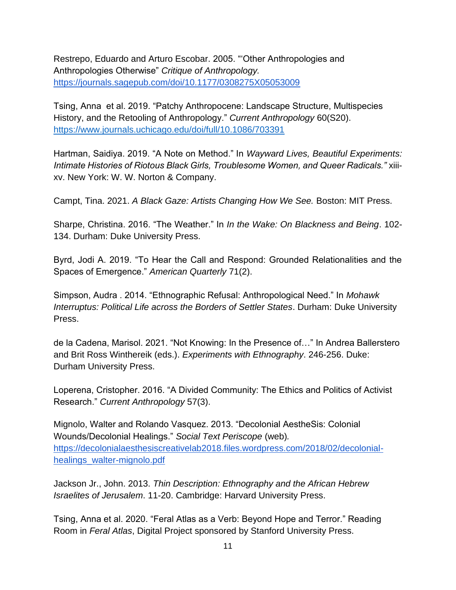Restrepo, Eduardo and Arturo Escobar. 2005. "'Other Anthropologies and Anthropologies Otherwise" *Critique of Anthropology.*  <https://journals.sagepub.com/doi/10.1177/0308275X05053009>

Tsing, Anna et al. 2019. "Patchy Anthropocene: Landscape Structure, Multispecies History, and the Retooling of Anthropology." *Current Anthropology* 60(S20). <https://www.journals.uchicago.edu/doi/full/10.1086/703391>

Hartman, Saidiya. 2019. "A Note on Method." In *Wayward Lives, Beautiful Experiments: Intimate Histories of Riotous Black Girls, Troublesome Women, and Queer Radicals."* xiiixv. New York: W. W. Norton & Company.

Campt, Tina. 2021. *A Black Gaze: Artists Changing How We See.* Boston: MIT Press.

Sharpe, Christina. 2016. "The Weather." In *In the Wake: On Blackness and Being*. 102- 134. Durham: Duke University Press.

Byrd, Jodi A. 2019. "To Hear the Call and Respond: Grounded Relationalities and the Spaces of Emergence." *American Quarterly* 71(2).

Simpson, Audra . 2014. "Ethnographic Refusal: Anthropological Need." In *Mohawk Interruptus: Political Life across the Borders of Settler States*. Durham: Duke University Press.

de la Cadena, Marisol. 2021. "Not Knowing: In the Presence of…" In Andrea Ballerstero and Brit Ross Winthereik (eds.). *Experiments with Ethnography*. 246-256. Duke: Durham University Press.

Loperena, Cristopher. 2016. "A Divided Community: The Ethics and Politics of Activist Research." *Current Anthropology* 57(3).

Mignolo, Walter and Rolando Vasquez. 2013. "Decolonial AestheSis: Colonial Wounds/Decolonial Healings." *Social Text Periscope* (web)*.*  [https://decolonialaesthesiscreativelab2018.files.wordpress.com/2018/02/decolonial](https://decolonialaesthesiscreativelab2018.files.wordpress.com/2018/02/decolonial-healings_walter-mignolo.pdf)[healings\\_walter-mignolo.pdf](https://decolonialaesthesiscreativelab2018.files.wordpress.com/2018/02/decolonial-healings_walter-mignolo.pdf)

Jackson Jr., John. 2013. *Thin Description: Ethnography and the African Hebrew Israelites of Jerusalem*. 11-20. Cambridge: Harvard University Press.

Tsing, Anna et al. 2020. "Feral Atlas as a Verb: Beyond Hope and Terror." Reading Room in *Feral Atlas*, Digital Project sponsored by Stanford University Press.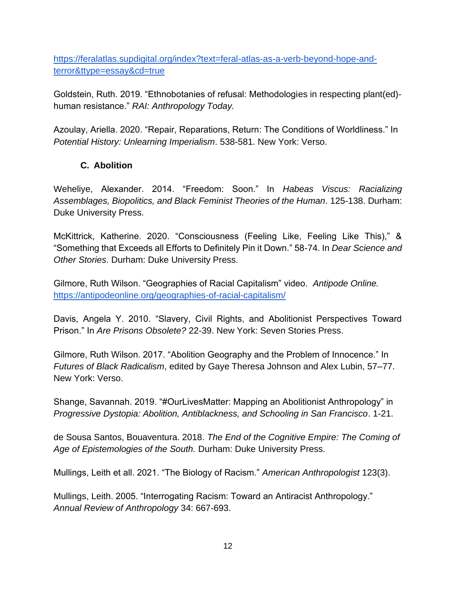[https://feralatlas.supdigital.org/index?text=feral-atlas-as-a-verb-beyond-hope-and](https://feralatlas.supdigital.org/index?text=feral-atlas-as-a-verb-beyond-hope-and-terror&ttype=essay&cd=true)[terror&ttype=essay&cd=true](https://feralatlas.supdigital.org/index?text=feral-atlas-as-a-verb-beyond-hope-and-terror&ttype=essay&cd=true) 

Goldstein, Ruth. 2019. "Ethnobotanies of refusal: Methodologies in respecting plant(ed) human resistance." *RAI: Anthropology Today.* 

Azoulay, Ariella. 2020. "Repair, Reparations, Return: The Conditions of Worldliness." In *Potential History: Unlearning Imperialism*. 538-581. New York: Verso.

# **C. Abolition**

Weheliye, Alexander. 2014. "Freedom: Soon." In *Habeas Viscus: Racializing Assemblages, Biopolitics, and Black Feminist Theories of the Human*. 125-138. Durham: Duke University Press.

McKittrick, Katherine. 2020. "Consciousness (Feeling Like, Feeling Like This)," & "Something that Exceeds all Efforts to Definitely Pin it Down." 58-74. In *Dear Science and Other Stories*. Durham: Duke University Press.

Gilmore, Ruth Wilson. "Geographies of Racial Capitalism" video. *Antipode Online.*  <https://antipodeonline.org/geographies-of-racial-capitalism/>

Davis, Angela Y. 2010. "Slavery, Civil Rights, and Abolitionist Perspectives Toward Prison." In *Are Prisons Obsolete?* 22-39. New York: Seven Stories Press.

Gilmore, Ruth Wilson. 2017. "Abolition Geography and the Problem of Innocence." In *Futures of Black Radicalism*, edited by Gaye Theresa Johnson and Alex Lubin, 57–77. New York: Verso.

Shange, Savannah. 2019. "#OurLivesMatter: Mapping an Abolitionist Anthropology" in *Progressive Dystopia: Abolition, Antiblackness, and Schooling in San Francisco*. 1-21.

de Sousa Santos, Bouaventura. 2018. *The End of the Cognitive Empire: The Coming of Age of Epistemologies of the South.* Durham: Duke University Press.

Mullings, Leith et all. 2021. "The Biology of Racism." *American Anthropologist* 123(3).

Mullings, Leith. 2005. "Interrogating Racism: Toward an Antiracist Anthropology." *Annual Review of Anthropology* 34: 667-693.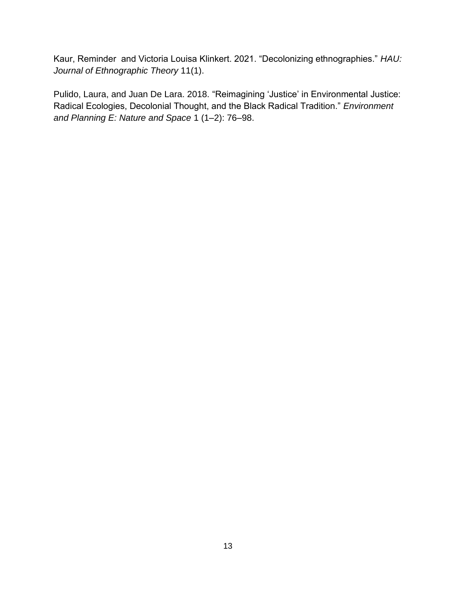Kaur, Reminder and Victoria Louisa Klinkert. 2021. "Decolonizing ethnographies." *HAU: Journal of Ethnographic Theory* 11(1).

Pulido, Laura, and Juan De Lara. 2018. "Reimagining 'Justice' in Environmental Justice: Radical Ecologies, Decolonial Thought, and the Black Radical Tradition." *Environment and Planning E: Nature and Space* 1 (1–2): 76–98.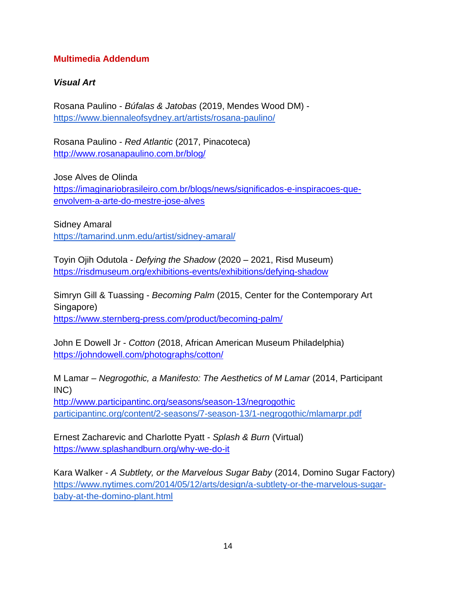## **Multimedia Addendum**

## *Visual Art*

Rosana Paulino - *Búfalas & Jatobas* (2019, Mendes Wood DM)  <https://www.biennaleofsydney.art/artists/rosana-paulino/>

Rosana Paulino - *Red Atlantic* (2017, Pinacoteca) <http://www.rosanapaulino.com.br/blog/>

Jose Alves de Olinda [https://imaginariobrasileiro.com.br/blogs/news/significados-e-inspiracoes-que](https://imaginariobrasileiro.com.br/blogs/news/significados-e-inspiracoes-que-envolvem-a-arte-do-mestre-jose-alves)[envolvem-a-arte-do-mestre-jose-alves](https://imaginariobrasileiro.com.br/blogs/news/significados-e-inspiracoes-que-envolvem-a-arte-do-mestre-jose-alves)

Sidney Amaral <https://tamarind.unm.edu/artist/sidney-amaral/>

Toyin Ojih Odutola - *Defying the Shadow* (2020 – 2021, Risd Museum[\)](https://risdmuseum.org/exhibitions-events/exhibitions/defying-shadow) <https://risdmuseum.org/exhibitions-events/exhibitions/defying-shadow>

Simryn Gill & Tuassing - *Becoming Palm* (2015, Center for the Contemporary Art Singapore) <https://www.sternberg-press.com/product/becoming-palm/>

John E Dowell Jr - *Cotton* (2018, African American Museum Philadelphia) <https://johndowell.com/photographs/cotton/>

M Lamar – *Negrogothic, a Manifesto: The Aesthetics of M Lamar* (2014, Participant INC)

<http://www.participantinc.org/seasons/season-13/negrogothic> [participantinc.org/content/2-seasons/7-season-13/1-negrogothic/mlamarpr.pdf](http://participantinc.org/content/2-seasons/7-season-13/1-negrogothic/mlamarpr.pdf)

Ernest Zacharevic and Charlotte Pyatt - *Splash & Burn* [\(Virtual\)](https://www.splashandburn.org/why-we-do-it)  <https://www.splashandburn.org/why-we-do-it>

Kara Walker - *A Subtlety, or the Marvelous Sugar Baby* (2014, Domino Sugar Factory) [https://www.nytimes.com/2014/05/12/arts/design/a-subtlety-or-the-marvelous-sugar](https://www.nytimes.com/2014/05/12/arts/design/a-subtlety-or-the-marvelous-sugar-baby-at-the-domino-plant.html)[baby-at-the-domino-plant.html](https://www.nytimes.com/2014/05/12/arts/design/a-subtlety-or-the-marvelous-sugar-baby-at-the-domino-plant.html)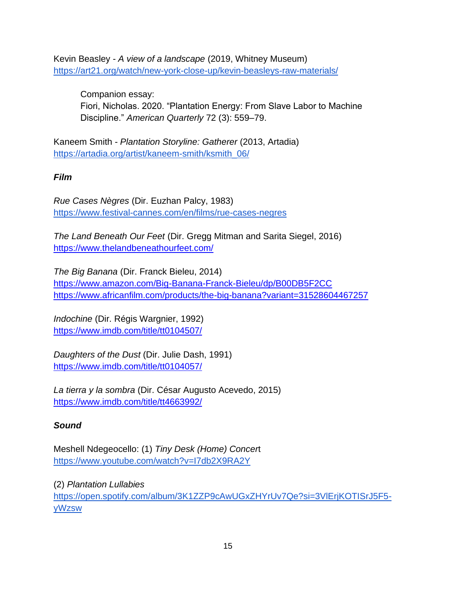Kevin Beasley - *A view of a landscape* (2019, Whitney Museum) <https://art21.org/watch/new-york-close-up/kevin-beasleys-raw-materials/>

Companion essay: Fiori, Nicholas. 2020. "Plantation Energy: From Slave Labor to Machine Discipline." *American Quarterly* 72 (3): 559–79.

Kaneem Smith - *Plantation Storyline: Gatherer* (2013, Artadia) [https://artadia.org/artist/kaneem-smith/ksmith\\_06/](https://artadia.org/artist/kaneem-smith/ksmith_06/)

*Film*

*Rue Cases Nègres* (Dir. Euzhan Palcy, 1983) <https://www.festival-cannes.com/en/films/rue-cases-negres>

*The Land Beneath Our Feet* (Dir. Gregg Mitman and Sarita Siegel, 2016) <https://www.thelandbeneathourfeet.com/>

*The Big Banana* (Dir. Franck Bieleu, 2014) <https://www.amazon.com/Big-Banana-Franck-Bieleu/dp/B00DB5F2CC> <https://www.africanfilm.com/products/the-big-banana?variant=31528604467257>

*Indochine* (Dir. Régis Wargnier, 1992) <https://www.imdb.com/title/tt0104507/>

*Daughters of the Dust* (Dir. Julie Dash, 1991) <https://www.imdb.com/title/tt0104057/>

*La tierra y la sombra* (Dir. César Augusto Acevedo, 2015) <https://www.imdb.com/title/tt4663992/>

# *Sound*

Meshell Ndegeocello: (1) *Tiny Desk (Home) Concer*t <https://www.youtube.com/watch?v=I7db2X9RA2Y>

(2) *Plantation Lullabies* [https://open.spotify.com/album/3K1ZZP9cAwUGxZHYrUv7Qe?si=3VlErjKOTISrJ5F5](https://open.spotify.com/album/3K1ZZP9cAwUGxZHYrUv7Qe?si=3VlErjKOTISrJ5F5-yWzsw) [yWzsw](https://open.spotify.com/album/3K1ZZP9cAwUGxZHYrUv7Qe?si=3VlErjKOTISrJ5F5-yWzsw)